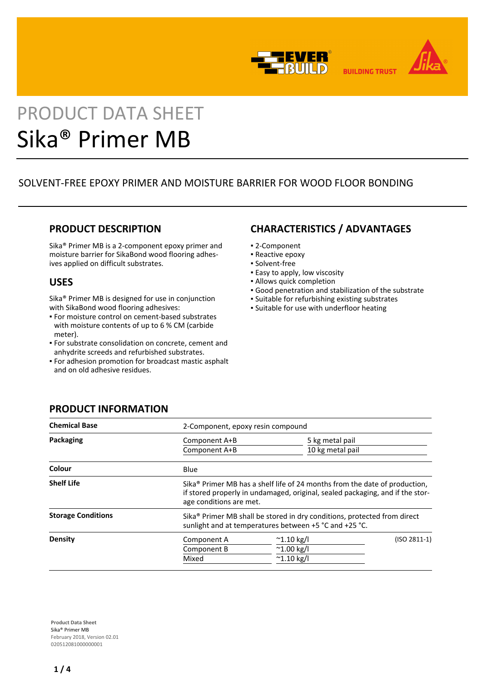



**BUILDING TRUST** 

# PRODUCT DATA SHEET Sika® Primer MB

# SOLVENT-FREE EPOXY PRIMER AND MOISTURE BARRIER FOR WOOD FLOOR BONDING

## **PRODUCT DESCRIPTION**

Sika® Primer MB is a 2-component epoxy primer and moisture barrier for SikaBond wood flooring adhesives applied on difficult substrates.

## **USES**

Sika® Primer MB is designed for use in conjunction with SikaBond wood flooring adhesives:

- For moisture control on cement-based substrates with moisture contents of up to 6 % CM (carbide meter).
- For substrate consolidation on concrete, cement and anhydrite screeds and refurbished substrates.
- For adhesion promotion for broadcast mastic asphalt and on old adhesive residues.

# **CHARACTERISTICS / ADVANTAGES**

- 2-Component
- Reactive epoxy
- Solvent-free
- **Easy to apply, low viscosity**
- **.** Allows quick completion
- Good penetration and stabilization of the substrate
- Suitable for refurbishing existing substrates
- **.** Suitable for use with underfloor heating

| <b>Chemical Base</b>      | 2-Component, epoxy resin compound                                                                                                                                                                  |                     |                 |  |
|---------------------------|----------------------------------------------------------------------------------------------------------------------------------------------------------------------------------------------------|---------------------|-----------------|--|
| Packaging                 | Component A+B                                                                                                                                                                                      |                     | 5 kg metal pail |  |
|                           | Component A+B                                                                                                                                                                                      | 10 kg metal pail    |                 |  |
| Colour                    | Blue                                                                                                                                                                                               |                     |                 |  |
| <b>Shelf Life</b>         | Sika <sup>®</sup> Primer MB has a shelf life of 24 months from the date of production,<br>if stored properly in undamaged, original, sealed packaging, and if the stor-<br>age conditions are met. |                     |                 |  |
| <b>Storage Conditions</b> | Sika <sup>®</sup> Primer MB shall be stored in dry conditions, protected from direct<br>sunlight and at temperatures between +5 °C and +25 °C.                                                     |                     |                 |  |
| <b>Density</b>            | Component A                                                                                                                                                                                        | $^{\sim}$ 1.10 kg/l | $(ISO 2811-1)$  |  |
|                           | Component B                                                                                                                                                                                        | $^{\sim}$ 1.00 kg/l |                 |  |
|                           | Mixed                                                                                                                                                                                              | $^{\sim}$ 1.10 kg/l |                 |  |

**PRODUCT INFORMATION**

**Product Data Sheet** Sika® Primer MB February 2018, Version 02.01 020512081000000001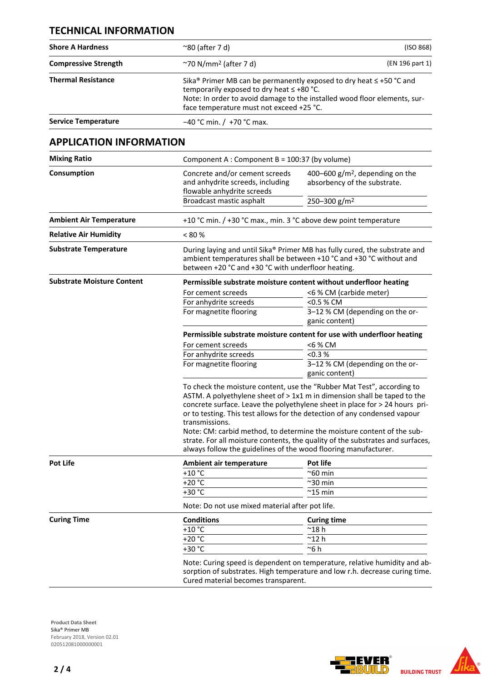## **TECHNICAL INFORMATION**

| <b>Compressive Strength</b><br>$\gamma$ 70 N/mm <sup>2</sup> (after 7 d)<br><b>Thermal Resistance</b><br>temporarily exposed to dry heat ≤ +80 °C.<br>face temperature must not exceed +25 °C.<br><b>Service Temperature</b><br>$-40$ °C min. / +70 °C max.<br><b>APPLICATION INFORMATION</b><br><b>Mixing Ratio</b><br>Component A : Component B = 100:37 (by volume)<br>Consumption<br>Concrete and/or cement screeds<br>400-600 $g/m^2$ , depending on the<br>and anhydrite screeds, including<br>absorbency of the substrate.<br>flowable anhydrite screeds<br>Broadcast mastic asphalt<br>250-300 g/m <sup>2</sup><br><b>Ambient Air Temperature</b><br><b>Relative Air Humidity</b><br>< 80 %<br><b>Substrate Temperature</b><br>between +20 °C and +30 °C with underfloor heating.<br><b>Substrate Moisture Content</b><br>For cement screeds<br><6 % CM (carbide meter)<br>For anhydrite screeds<br><0.5 % CM<br>3-12 % CM (depending on the or-<br>For magnetite flooring<br>ganic content) | (ISO 868)                                                                                                                                                                                                                             |  |  |
|------------------------------------------------------------------------------------------------------------------------------------------------------------------------------------------------------------------------------------------------------------------------------------------------------------------------------------------------------------------------------------------------------------------------------------------------------------------------------------------------------------------------------------------------------------------------------------------------------------------------------------------------------------------------------------------------------------------------------------------------------------------------------------------------------------------------------------------------------------------------------------------------------------------------------------------------------------------------------------------------------|---------------------------------------------------------------------------------------------------------------------------------------------------------------------------------------------------------------------------------------|--|--|
|                                                                                                                                                                                                                                                                                                                                                                                                                                                                                                                                                                                                                                                                                                                                                                                                                                                                                                                                                                                                      | (EN 196 part 1)                                                                                                                                                                                                                       |  |  |
|                                                                                                                                                                                                                                                                                                                                                                                                                                                                                                                                                                                                                                                                                                                                                                                                                                                                                                                                                                                                      | Sika® Primer MB can be permanently exposed to dry heat $\leq$ +50 °C and<br>Note: In order to avoid damage to the installed wood floor elements, sur-                                                                                 |  |  |
|                                                                                                                                                                                                                                                                                                                                                                                                                                                                                                                                                                                                                                                                                                                                                                                                                                                                                                                                                                                                      |                                                                                                                                                                                                                                       |  |  |
|                                                                                                                                                                                                                                                                                                                                                                                                                                                                                                                                                                                                                                                                                                                                                                                                                                                                                                                                                                                                      |                                                                                                                                                                                                                                       |  |  |
|                                                                                                                                                                                                                                                                                                                                                                                                                                                                                                                                                                                                                                                                                                                                                                                                                                                                                                                                                                                                      |                                                                                                                                                                                                                                       |  |  |
|                                                                                                                                                                                                                                                                                                                                                                                                                                                                                                                                                                                                                                                                                                                                                                                                                                                                                                                                                                                                      |                                                                                                                                                                                                                                       |  |  |
|                                                                                                                                                                                                                                                                                                                                                                                                                                                                                                                                                                                                                                                                                                                                                                                                                                                                                                                                                                                                      |                                                                                                                                                                                                                                       |  |  |
|                                                                                                                                                                                                                                                                                                                                                                                                                                                                                                                                                                                                                                                                                                                                                                                                                                                                                                                                                                                                      | +10 °C min. / +30 °C max., min. 3 °C above dew point temperature                                                                                                                                                                      |  |  |
|                                                                                                                                                                                                                                                                                                                                                                                                                                                                                                                                                                                                                                                                                                                                                                                                                                                                                                                                                                                                      |                                                                                                                                                                                                                                       |  |  |
|                                                                                                                                                                                                                                                                                                                                                                                                                                                                                                                                                                                                                                                                                                                                                                                                                                                                                                                                                                                                      | During laying and until Sika® Primer MB has fully cured, the substrate and<br>ambient temperatures shall be between +10 °C and +30 °C without and                                                                                     |  |  |
|                                                                                                                                                                                                                                                                                                                                                                                                                                                                                                                                                                                                                                                                                                                                                                                                                                                                                                                                                                                                      | Permissible substrate moisture content without underfloor heating                                                                                                                                                                     |  |  |
|                                                                                                                                                                                                                                                                                                                                                                                                                                                                                                                                                                                                                                                                                                                                                                                                                                                                                                                                                                                                      |                                                                                                                                                                                                                                       |  |  |
|                                                                                                                                                                                                                                                                                                                                                                                                                                                                                                                                                                                                                                                                                                                                                                                                                                                                                                                                                                                                      |                                                                                                                                                                                                                                       |  |  |
|                                                                                                                                                                                                                                                                                                                                                                                                                                                                                                                                                                                                                                                                                                                                                                                                                                                                                                                                                                                                      | Permissible substrate moisture content for use with underfloor heating                                                                                                                                                                |  |  |
| For cement screeds<br><6 % CM                                                                                                                                                                                                                                                                                                                                                                                                                                                                                                                                                                                                                                                                                                                                                                                                                                                                                                                                                                        |                                                                                                                                                                                                                                       |  |  |
| For anhydrite screeds<br>< 0.3 %                                                                                                                                                                                                                                                                                                                                                                                                                                                                                                                                                                                                                                                                                                                                                                                                                                                                                                                                                                     |                                                                                                                                                                                                                                       |  |  |
| For magnetite flooring<br>3-12 % CM (depending on the or-<br>ganic content)                                                                                                                                                                                                                                                                                                                                                                                                                                                                                                                                                                                                                                                                                                                                                                                                                                                                                                                          |                                                                                                                                                                                                                                       |  |  |
|                                                                                                                                                                                                                                                                                                                                                                                                                                                                                                                                                                                                                                                                                                                                                                                                                                                                                                                                                                                                      | To check the moisture content, use the "Rubber Mat Test", according to<br>ASTM. A polyethylene sheet of > 1x1 m in dimension shall be taped to the<br>concrete surface. Leave the polyethylene sheet in place for > 24 hours pri-     |  |  |
| transmissions.                                                                                                                                                                                                                                                                                                                                                                                                                                                                                                                                                                                                                                                                                                                                                                                                                                                                                                                                                                                       | or to testing. This test allows for the detection of any condensed vapour<br>Note: CM: carbid method, to determine the moisture content of the sub-<br>strate. For all moisture contents, the quality of the substrates and surfaces, |  |  |
|                                                                                                                                                                                                                                                                                                                                                                                                                                                                                                                                                                                                                                                                                                                                                                                                                                                                                                                                                                                                      | always follow the guidelines of the wood flooring manufacturer.                                                                                                                                                                       |  |  |
| <b>Pot Life</b><br>Pot life<br>Ambient air temperature                                                                                                                                                                                                                                                                                                                                                                                                                                                                                                                                                                                                                                                                                                                                                                                                                                                                                                                                               |                                                                                                                                                                                                                                       |  |  |
| $+10$ °C<br>$^{\sim}$ 60 min                                                                                                                                                                                                                                                                                                                                                                                                                                                                                                                                                                                                                                                                                                                                                                                                                                                                                                                                                                         |                                                                                                                                                                                                                                       |  |  |
| $+20 °C$<br>$^{\sim}$ 30 min                                                                                                                                                                                                                                                                                                                                                                                                                                                                                                                                                                                                                                                                                                                                                                                                                                                                                                                                                                         |                                                                                                                                                                                                                                       |  |  |
| +30 °C<br>$^{\sim}$ 15 min                                                                                                                                                                                                                                                                                                                                                                                                                                                                                                                                                                                                                                                                                                                                                                                                                                                                                                                                                                           |                                                                                                                                                                                                                                       |  |  |
| Note: Do not use mixed material after pot life.                                                                                                                                                                                                                                                                                                                                                                                                                                                                                                                                                                                                                                                                                                                                                                                                                                                                                                                                                      |                                                                                                                                                                                                                                       |  |  |
| <b>Curing Time</b><br><b>Conditions</b><br><b>Curing time</b>                                                                                                                                                                                                                                                                                                                                                                                                                                                                                                                                                                                                                                                                                                                                                                                                                                                                                                                                        |                                                                                                                                                                                                                                       |  |  |
| $+10 °C$<br>$^{\sim}$ 18 h                                                                                                                                                                                                                                                                                                                                                                                                                                                                                                                                                                                                                                                                                                                                                                                                                                                                                                                                                                           |                                                                                                                                                                                                                                       |  |  |
| $+20 °C$<br>$^{\sim}$ 12 h                                                                                                                                                                                                                                                                                                                                                                                                                                                                                                                                                                                                                                                                                                                                                                                                                                                                                                                                                                           |                                                                                                                                                                                                                                       |  |  |
| $+30 °C$<br>~6 h                                                                                                                                                                                                                                                                                                                                                                                                                                                                                                                                                                                                                                                                                                                                                                                                                                                                                                                                                                                     |                                                                                                                                                                                                                                       |  |  |
| Note: Curing speed is dependent on temperature, relative humidity and ab-<br>sorption of substrates. High temperature and low r.h. decrease curing time.<br>Cured material becomes transparent.                                                                                                                                                                                                                                                                                                                                                                                                                                                                                                                                                                                                                                                                                                                                                                                                      |                                                                                                                                                                                                                                       |  |  |

**Product Data Sheet** Sika® Primer MB February 2018, Version 02.01 020512081000000001

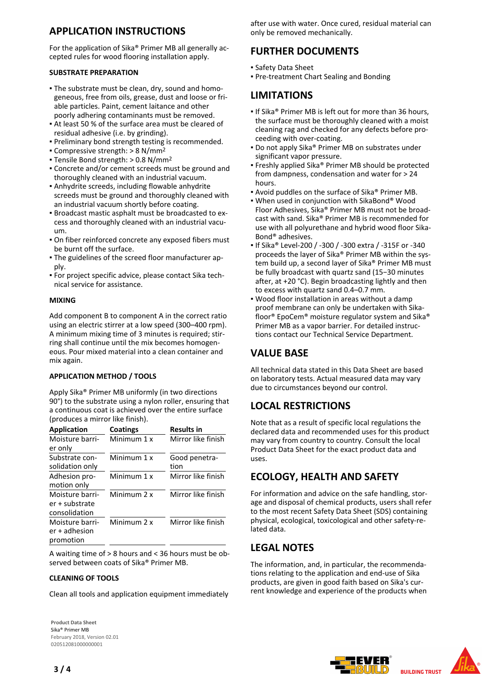## **APPLICATION INSTRUCTIONS**

For the application of Sika® Primer MB all generally accepted rules for wood flooring installation apply.

### **SUBSTRATE PREPARATION**

- The substrate must be clean, dry, sound and homo-▪ geneous, free from oils, grease, dust and loose or friable particles. Paint, cement laitance and other poorly adhering contaminants must be removed.
- At least 50 % of the surface area must be cleared of residual adhesive (i.e. by grinding).
- Preliminary bond strength testing is recommended.
- Compressive strength: > 8 N/mm2 ▪
- Tensile Bond strength: > 0.8 N/mm<sup>2</sup>
- Concrete and/or cement screeds must be ground and thoroughly cleaned with an industrial vacuum.
- Anhydrite screeds, including flowable anhydrite screeds must be ground and thoroughly cleaned with an industrial vacuum shortly before coating.
- **Broadcast mastic asphalt must be broadcasted to ex**cess and thoroughly cleaned with an industrial vacuum.
- On fiber reinforced concrete any exposed fibers must be burnt off the surface.
- The guidelines of the screed floor manufacturer ap-▪ ply.
- For project specific advice, please contact Sika tech-▪ nical service for assistance.

### **MIXING**

Add component B to component A in the correct ratio using an electric stirrer at a low speed (300–400 rpm). A minimum mixing time of 3 minutes is required; stirring shall continue until the mix becomes homogeneous. Pour mixed material into a clean container and mix again.

## **APPLICATION METHOD / TOOLS**

Apply Sika® Primer MB uniformly (in two directions 90°) to the substrate using a nylon roller, ensuring that a continuous coat is achieved over the entire surface (produces a mirror like finish).

| <b>Application</b>                                 | Coatings    | <b>Results in</b>     |
|----------------------------------------------------|-------------|-----------------------|
| Moisture barri-<br>er only                         | Minimum 1 x | Mirror like finish    |
| Substrate con-<br>solidation only                  | Minimum 1 x | Good penetra-<br>tion |
| Adhesion pro-<br>motion only                       | Minimum 1 x | Mirror like finish    |
| Moisture barri-<br>er + substrate<br>consolidation | Minimum 2 x | Mirror like finish    |
| Moisture barri-<br>$er + adhesion$<br>promotion    | Minimum 2 x | Mirror like finish    |

A waiting time of > 8 hours and < 36 hours must be observed between coats of Sika® Primer MB.

## **CLEANING OF TOOLS**

Clean all tools and application equipment immediately

**Product Data Sheet** Sika® Primer MB February 2018, Version 02.01 020512081000000001

after use with water. Once cured, residual material can only be removed mechanically.

## **FURTHER DOCUMENTS**

- Safety Data Sheet
- Pre-treatment Chart Sealing and Bonding

## **LIMITATIONS**

- **If Sika® Primer MB is left out for more than 36 hours,** the surface must be thoroughly cleaned with a moist cleaning rag and checked for any defects before proceeding with over-coating.
- Do not apply Sika® Primer MB on substrates under significant vapor pressure.
- Freshly applied Sika® Primer MB should be protected from dampness, condensation and water for > 24 hours.
- Avoid puddles on the surface of Sika® Primer MB.
- When used in conjunction with SikaBond® Wood Floor Adhesives, Sika® Primer MB must not be broadcast with sand. Sika® Primer MB is recommended for use with all polyurethane and hybrid wood floor Sika-Bond® adhesives.
- If Sika® Level-200 / -300 / -300 extra / -315F or -340 proceeds the layer of Sika® Primer MB within the system build up, a second layer of Sika® Primer MB must be fully broadcast with quartz sand (15−30 minutes after, at +20 °C). Begin broadcasting lightly and then to excess with quartz sand 0.4–0.7 mm.
- Wood floor installation in areas without a damp proof membrane can only be undertaken with Sikafloor® EpoCem® moisture regulator system and Sika® Primer MB as a vapor barrier. For detailed instructions contact our Technical Service Department.

## **VALUE BASE**

All technical data stated in this Data Sheet are based on laboratory tests. Actual measured data may vary due to circumstances beyond our control.

## **LOCAL RESTRICTIONS**

Note that as a result of specific local regulations the declared data and recommended uses for this product may vary from country to country. Consult the local Product Data Sheet for the exact product data and uses.

## **ECOLOGY, HEALTH AND SAFETY**

For information and advice on the safe handling, storage and disposal of chemical products, users shall refer to the most recent Safety Data Sheet (SDS) containing physical, ecological, toxicological and other safety-related data.

## **LEGAL NOTES**

The information, and, in particular, the recommendations relating to the application and end-use of Sika products, are given in good faith based on Sika's current knowledge and experience of the products when